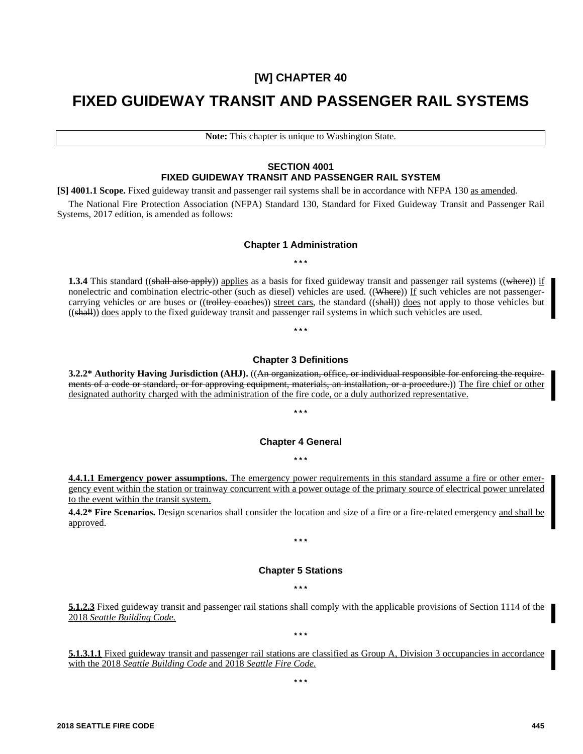# **[W] CHAPTER 40**

# **FIXED GUIDEWAY TRANSIT AND PASSENGER RAIL SYSTEMS**

**Note:** This chapter is unique to Washington State.

# **SECTION 4001 FIXED GUIDEWAY TRANSIT AND PASSENGER RAIL SYSTEM**

**[S] 4001.1 Scope.** Fixed guideway transit and passenger rail systems shall be in accordance with NFPA 130 as amended.

The National Fire Protection Association (NFPA) Standard 130, Standard for Fixed Guideway Transit and Passenger Rail Systems, 2017 edition, is amended as follows:

# **Chapter 1 Administration \* \* \***

**1.3.4** This standard ((shall also apply)) applies as a basis for fixed guideway transit and passenger rail systems ((where)) if nonelectric and combination electric-other (such as diesel) vehicles are used. ((Where)) If such vehicles are not passengercarrying vehicles or are buses or ((trolley coaches)) street cars, the standard ((shall)) does not apply to those vehicles but ((shall)) does apply to the fixed guideway transit and passenger rail systems in which such vehicles are used.

# **Chapter 3 Definitions**

**\* \* \***

**3.2.2\* Authority Having Jurisdiction (AHJ).** ((An organization, office, or individual responsible for enforcing the requirements of a code or standard, or for approving equipment, materials, an installation, or a procedure.)) The fire chief or other designated authority charged with the administration of the fire code, or a duly authorized representative.

# **Chapter 4 General**

**\* \* \***

**\* \* \***

**4.4.1.1 Emergency power assumptions.** The emergency power requirements in this standard assume a fire or other emergency event within the station or trainway concurrent with a power outage of the primary source of electrical power unrelated to the event within the transit system.

**4.4.2\* Fire Scenarios.** Design scenarios shall consider the location and size of a fire or a fire-related emergency and shall be approved.

# **Chapter 5 Stations**

**\* \* \***

**\* \* \***

**\* \* \***

**5.1.2.3** Fixed guideway transit and passenger rail stations shall comply with the applicable provisions of Section 1114 of the 2018 *Seattle Building Code.*

**5.1.3.1.1** Fixed guideway transit and passenger rail stations are classified as Group A, Division 3 occupancies in accordance with the 2018 *Seattle Building Code* and 2018 *Seattle Fire Code.*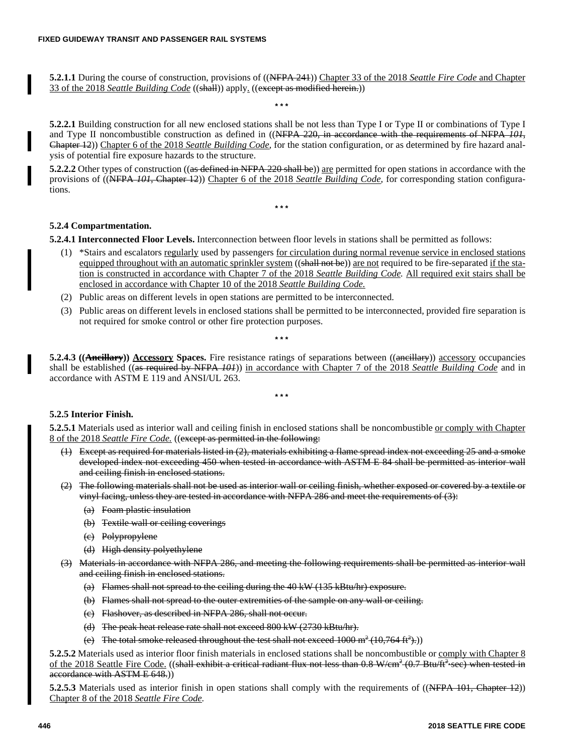**5.2.1.1** During the course of construction, provisions of ((NFPA 241)) Chapter 33 of the 2018 *Seattle Fire Code* and Chapter 33 of the 2018 *Seattle Building Code* ((shall)) apply. ((except as modified herein.))

**\* \* \***

**5.2.2.1** Building construction for all new enclosed stations shall be not less than Type I or Type II or combinations of Type I and Type II noncombustible construction as defined in ((NFPA 220, in accordance with the requirements of NFPA *101,* Chapter 12)) Chapter 6 of the 2018 *Seattle Building Code,* for the station configuration*,* or as determined by fire hazard analysis of potential fire exposure hazards to the structure.

**5.2.2.2** Other types of construction ((as defined in NFPA 220 shall be)) are permitted for open stations in accordance with the provisions of ((NFPA *101,* Chapter 12)) Chapter 6 of the 2018 *Seattle Building Code,* for corresponding station configurations.

**\* \* \***

**5.2.4 Compartmentation.**

**5.2.4.1 Interconnected Floor Levels.** Interconnection between floor levels in stations shall be permitted as follows:

- (1) \*Stairs and escalators regularly used by passengers for circulation during normal revenue service in enclosed stations equipped throughout with an automatic sprinkler system ((shall not be)) are not required to be fire-separated if the station is constructed in accordance with Chapter 7 of the 2018 *Seattle Building Code.* All required exit stairs shall be enclosed in accordance with Chapter 10 of the 2018 *Seattle Building Code.*
- (2) Public areas on different levels in open stations are permitted to be interconnected.
- (3) Public areas on different levels in enclosed stations shall be permitted to be interconnected, provided fire separation is not required for smoke control or other fire protection purposes.

**\* \* \***

**5.2.4.3 ((Ancillary)) Accessory Spaces.** Fire resistance ratings of separations between ((ancillary)) accessory occupancies shall be established ((as required by NFPA *101*)) in accordance with Chapter 7 of the 2018 *Seattle Building Code* and in accordance with ASTM E 119 and ANSI/UL 263.

**\* \* \***

# **5.2.5 Interior Finish.**

**5.2.5.1** Materials used as interior wall and ceiling finish in enclosed stations shall be noncombustible or comply with Chapter 8 of the 2018 *Seattle Fire Code.* ((except as permitted in the following:

- (1) Except as required for materials listed in (2), materials exhibiting a flame spread index not exceeding 25 and a smoke developed index not exceeding 450 when tested in accordance with ASTM E 84 shall be permitted as interior wall and ceiling finish in enclosed stations.
- (2) The following materials shall not be used as interior wall or ceiling finish, whether exposed or covered by a textile or vinyl facing, unless they are tested in accordance with NFPA 286 and meet the requirements of (3):
	- (a) Foam plastic insulation
	- (b) Textile wall or ceiling coverings
	- (c) Polypropylene
	- (d) High density polyethylene
- (3) Materials in accordance with NFPA 286, and meeting the following requirements shall be permitted as interior wall and ceiling finish in enclosed stations.
	- (a) Flames shall not spread to the ceiling during the 40 kW (135 kBtu/hr) exposure.
	- (b) Flames shall not spread to the outer extremities of the sample on any wall or ceiling.
	- (c) Flashover, as described in NFPA 286, shall not occur.
	- (d) The peak heat release rate shall not exceed 800 kW (2730 kBtu/hr).
	- (e) The total smoke released throughout the test shall not exceed  $1000 \text{ m}^2 (10,764 \text{ ft}^2)$ .)

**5.2.5.2** Materials used as interior floor finish materials in enclosed stations shall be noncombustible or comply with Chapter 8 of the 2018 Seattle Fire Code. ((shall exhibit a critical radiant flux not less than 0.8 W/cm<sup>2</sup> (0.7 Btu/ft<sup>2</sup> sec) when tested in accordance with ASTM E 648.)

**5.2.5.3** Materials used as interior finish in open stations shall comply with the requirements of ((NFPA 101, Chapter 12)) Chapter 8 of the 2018 *Seattle Fire Code.*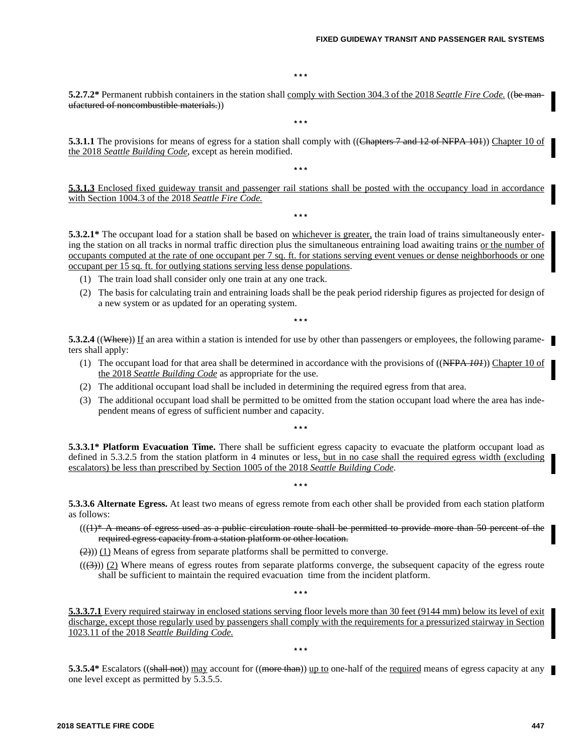**\* \* \***

**5.2.7.2\*** Permanent rubbish containers in the station shall comply with Section 304.3 of the 2018 *Seattle Fire Code.* ((be manufactured of noncombustible materials.))

**\* \* \***

**5.3.1.1** The provisions for means of egress for a station shall comply with ((Chapters 7 and 12 of NFPA 101)) Chapter 10 of the 2018 *Seattle Building Code,* except as herein modified.

**5.3.1.3** Enclosed fixed guideway transit and passenger rail stations shall be posted with the occupancy load in accordance with Section 1004.3 of the 2018 *Seattle Fire Code.*

**\* \* \***

**\* \* \***

**5.3.2.1\*** The occupant load for a station shall be based on whichever is greater, the train load of trains simultaneously entering the station on all tracks in normal traffic direction plus the simultaneous entraining load awaiting trains or the number of occupants computed at the rate of one occupant per 7 sq. ft. for stations serving event venues or dense neighborhoods or one occupant per 15 sq. ft. for outlying stations serving less dense populations.

- (1) The train load shall consider only one train at any one track.
- (2) The basis for calculating train and entraining loads shall be the peak period ridership figures as projected for design of a new system or as updated for an operating system.

**\* \* \***

**5.3.2.4** ((Where)) If an area within a station is intended for use by other than passengers or employees, the following parameters shall apply:

- (1) The occupant load for that area shall be determined in accordance with the provisions of ((NFPA *101*)) Chapter 10 of the 2018 *Seattle Building Code* as appropriate for the use.
- (2) The additional occupant load shall be included in determining the required egress from that area.
- (3) The additional occupant load shall be permitted to be omitted from the station occupant load where the area has independent means of egress of sufficient number and capacity.

**\* \* \***

**5.3.3.1\* Platform Evacuation Time.** There shall be sufficient egress capacity to evacuate the platform occupant load as defined in 5.3.2.5 from the station platform in 4 minutes or less, but in no case shall the required egress width (excluding escalators) be less than prescribed by Section 1005 of the 2018 *Seattle Building Code.*

**5.3.3.6 Alternate Egress.** At least two means of egress remote from each other shall be provided from each station platform as follows:

**\* \* \***

- $(((1)* A$  means of egress used as a public circulation route shall be permitted to provide more than 50 percent of the required egress capacity from a station platform or other location.
- $\left(\frac{2}{2}\right)$ ) (1) Means of egress from separate platforms shall be permitted to converge.
- $((\langle 3 \rangle))$  (2) Where means of egress routes from separate platforms converge, the subsequent capacity of the egress route shall be sufficient to maintain the required evacuation time from the incident platform.

**5.3.3.7.1** Every required stairway in enclosed stations serving floor levels more than 30 feet (9144 mm) below its level of exit discharge, except those regularly used by passengers shall comply with the requirements for a pressurized stairway in Section 1023.11 of the 2018 *Seattle Building Code.*

**\* \* \***

**\* \* \***

**5.3.5.4\*** Escalators ((shall not)) may account for ((more than)) up to one-half of the <u>required</u> means of egress capacity at any one level except as permitted by 5.3.5.5.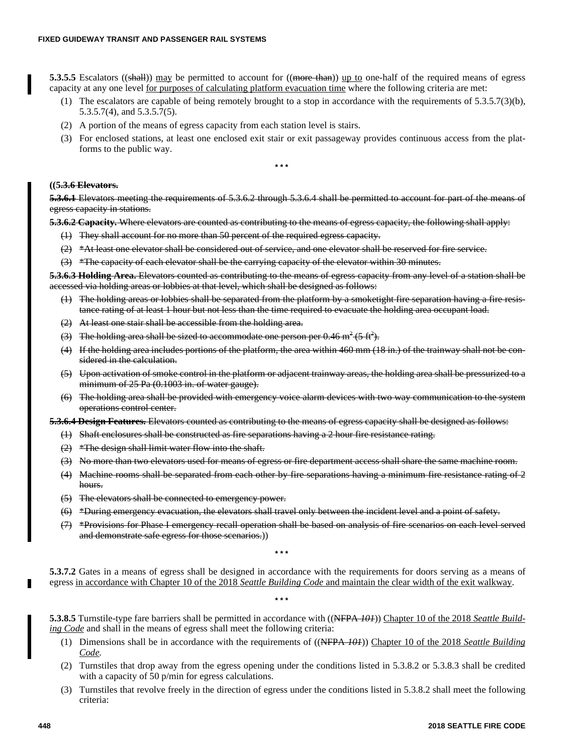**5.3.5.5** Escalators ((shall)) may be permitted to account for ((more than)) up to one-half of the required means of egress capacity at any one level for purposes of calculating platform evacuation time where the following criteria are met:

- (1) The escalators are capable of being remotely brought to a stop in accordance with the requirements of 5.3.5.7(3)(b), 5.3.5.7(4), and 5.3.5.7(5).
- (2) A portion of the means of egress capacity from each station level is stairs.
- (3) For enclosed stations, at least one enclosed exit stair or exit passageway provides continuous access from the platforms to the public way.

**\* \* \***

#### **((5.3.6 Elevators.**

**5.3.6.1** Elevators meeting the requirements of 5.3.6.2 through 5.3.6.4 shall be permitted to account for part of the means of egress capacity in stations.

**5.3.6.2 Capacity.** Where elevators are counted as contributing to the means of egress capacity, the following shall apply:

- (1) They shall account for no more than 50 percent of the required egress capacity.
- $(2)$  \*At least one elevator shall be considered out of service, and one elevator shall be reserved for fire service.
- (3) \*The capacity of each elevator shall be the carrying capacity of the elevator within 30 minutes.

**5.3.6.3 Holding Area.** Elevators counted as contributing to the means of egress capacity from any level of a station shall be accessed via holding areas or lobbies at that level, which shall be designed as follows:

- (1) The holding areas or lobbies shall be separated from the platform by a smoketight fire separation having a fire resistance rating of at least 1 hour but not less than the time required to evacuate the holding area occupant load.
- (2) At least one stair shall be accessible from the holding area.
- (3) The holding area shall be sized to accommodate one person per 0.46 m<sup>2</sup> (5 ft<sup>2</sup>).
- (4) If the holding area includes portions of the platform, the area within 460 mm (18 in.) of the trainway shall not be considered in the calculation.
- (5) Upon activation of smoke control in the platform or adjacent trainway areas, the holding area shall be pressurized to a minimum of 25 Pa (0.1003 in. of water gauge).
- (6) The holding area shall be provided with emergency voice alarm devices with two way communication to the system operations control center.

**5.3.6.4 Design Features.** Elevators counted as contributing to the means of egress capacity shall be designed as follows:

- (1) Shaft enclosures shall be constructed as fire separations having a 2 hour fire resistance rating.
- $(2)$  \*The design shall limit water flow into the shaft.
- (3) No more than two elevators used for means of egress or fire department access shall share the same machine room.
- (4) Machine rooms shall be separated from each other by fire separations having a minimum fire resistance rating of 2 hours.
- (5) The elevators shall be connected to emergency power.
- (6) \*During emergency evacuation, the elevators shall travel only between the incident level and a point of safety.
- (7) \*Provisions for Phase I emergency recall operation shall be based on analysis of fire scenarios on each level served and demonstrate safe egress for those scenarios.))

**\* \* \***

**\* \* \***

**5.3.7.2** Gates in a means of egress shall be designed in accordance with the requirements for doors serving as a means of egress in accordance with Chapter 10 of the 2018 *Seattle Building Code* and maintain the clear width of the exit walkway.

**5.3.8.5** Turnstile-type fare barriers shall be permitted in accordance with ((NFPA *101*)) Chapter 10 of the 2018 *Seattle Building Code* and shall in the means of egress shall meet the following criteria:

- (1) Dimensions shall be in accordance with the requirements of ((NFPA *101*)) Chapter 10 of the 2018 *Seattle Building Code.*
- (2) Turnstiles that drop away from the egress opening under the conditions listed in 5.3.8.2 or 5.3.8.3 shall be credited with a capacity of 50 p/min for egress calculations.
- (3) Turnstiles that revolve freely in the direction of egress under the conditions listed in 5.3.8.2 shall meet the following criteria: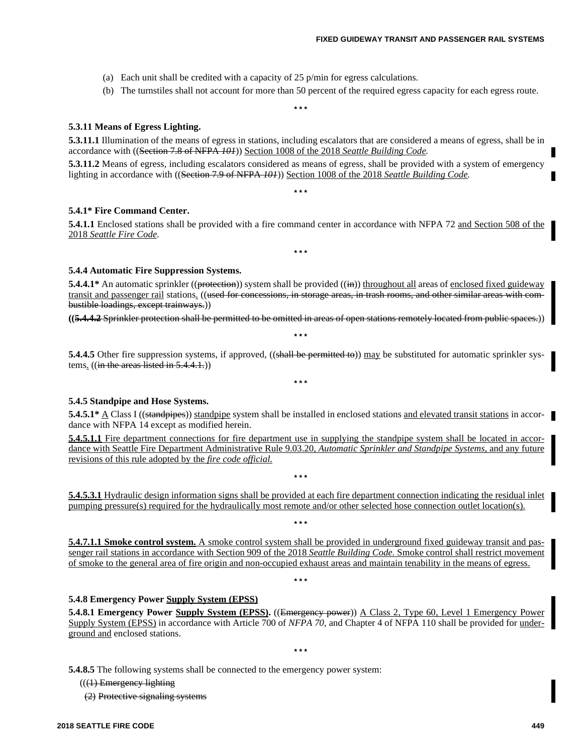- (a) Each unit shall be credited with a capacity of 25 p/min for egress calculations.
- (b) The turnstiles shall not account for more than 50 percent of the required egress capacity for each egress route.

#### **5.3.11 Means of Egress Lighting.**

**5.3.11.1** Illumination of the means of egress in stations, including escalators that are considered a means of egress, shall be in accordance with ((Section 7.8 of NFPA *101*)) Section 1008 of the 2018 *Seattle Building Code.*

**\* \* \***

**5.3.11.2** Means of egress, including escalators considered as means of egress, shall be provided with a system of emergency lighting in accordance with ((Section 7.9 of NFPA *101*)) Section 1008 of the 2018 *Seattle Building Code.*

**\* \* \***

#### **5.4.1\* Fire Command Center.**

**5.4.1.1** Enclosed stations shall be provided with a fire command center in accordance with NFPA 72 and Section 508 of the 2018 *Seattle Fire Code.*

**\* \* \***

#### **5.4.4 Automatic Fire Suppression Systems.**

**5.4.4.1\*** An automatic sprinkler ((protection)) system shall be provided ((in)) throughout all areas of enclosed fixed guideway transit and passenger rail stations. ((used for concessions, in storage areas, in trash rooms, and other similar areas with combustible loadings, except trainways.))

**((5.4.4.2** Sprinkler protection shall be permitted to be omitted in areas of open stations remotely located from public spaces.))

**\* \* \***

**\* \* \***

**5.4.4.5** Other fire suppression systems, if approved, ((shall be permitted to)) may be substituted for automatic sprinkler systems.  $((\text{in the areas listed in } 5.4.4.1.))$ 

#### **5.4.5 Standpipe and Hose Systems.**

**5.4.5.1\*** A Class I ((standpipes)) standpipe system shall be installed in enclosed stations and elevated transit stations in accordance with NFPA 14 except as modified herein.

**5.4.5.1.1** Fire department connections for fire department use in supplying the standpipe system shall be located in accordance with Seattle Fire Department Administrative Rule 9.03.20, *Automatic Sprinkler and Standpipe Systems,* and any future revisions of this rule adopted by the *fire code official.*

**5.4.5.3.1** Hydraulic design information signs shall be provided at each fire department connection indicating the residual inlet pumping pressure(s) required for the hydraulically most remote and/or other selected hose connection outlet location(s).

**\* \* \***

**\* \* \***

**5.4.7.1.1 Smoke control system.** A smoke control system shall be provided in underground fixed guideway transit and passenger rail stations in accordance with Section 909 of the 2018 *Seattle Building Code.* Smoke control shall restrict movement of smoke to the general area of fire origin and non-occupied exhaust areas and maintain tenability in the means of egress.

**\* \* \***

#### **5.4.8 Emergency Power Supply System (EPSS)**

**5.4.8.1 Emergency Power Supply System (EPSS).** ((Emergency power)) A Class 2, Type 60, Level 1 Emergency Power Supply System (EPSS) in accordance with Article 700 of *NFPA 70,* and Chapter 4 of NFPA 110 shall be provided for underground and enclosed stations.

**\* \* \***

**5.4.8.5** The following systems shall be connected to the emergency power system:

 $((1)$  Emergency lighting

(2) Protective signaling systems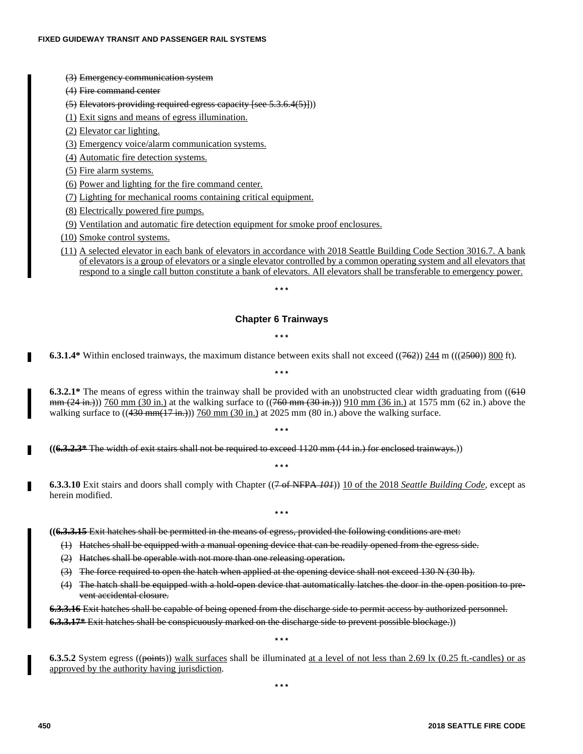- (3) Emergency communication system
- (4) Fire command center

# (5) Elevators providing required egress capacity [see 5.3.6.4(5)]))

(1) Exit signs and means of egress illumination.

(2) Elevator car lighting.

(3) Emergency voice/alarm communication systems.

(4) Automatic fire detection systems.

(5) Fire alarm systems.

(6) Power and lighting for the fire command center.

(7) Lighting for mechanical rooms containing critical equipment.

(8) Electrically powered fire pumps.

(9) Ventilation and automatic fire detection equipment for smoke proof enclosures.

(10) Smoke control systems.

(11) A selected elevator in each bank of elevators in accordance with 2018 Seattle Building Code Section 3016.7. A bank of elevators is a group of elevators or a single elevator controlled by a common operating system and all elevators that respond to a single call button constitute a bank of elevators. All elevators shall be transferable to emergency power.

**\* \* \***

# **Chapter 6 Trainways**

**\* \* \***

**6.3.1.4\*** Within enclosed trainways, the maximum distance between exits shall not exceed  $((762))$  244 m  $(((2500))$  800 ft). **\* \* \***

**6.3.2.1\*** The means of egress within the trainway shall be provided with an unobstructed clear width graduating from ((610) mm (24 in.)) 760 mm (30 in.) at the walking surface to ((760 mm (30 in.)) 910 mm (36 in.) at 1575 mm (62 in.) above the walking surface to  $((430 \text{ mm}(17 \text{ in.})))$  760 mm  $(30 \text{ in.})$  at 2025 mm  $(80 \text{ in.})$  above the walking surface.

**\* \* \***

**\* \* \***

**((6.3.2.3\*** The width of exit stairs shall not be required to exceed 1120 mm (44 in.) for enclosed trainways.))

**6.3.3.10** Exit stairs and doors shall comply with Chapter ((7 of NFPA *101*)) 10 of the 2018 *Seattle Building Code,* except as herein modified.

**\* \* \***

**((6.3.3.15** Exit hatches shall be permitted in the means of egress, provided the following conditions are met:

- (1) Hatches shall be equipped with a manual opening device that can be readily opened from the egress side.
- (2) Hatches shall be operable with not more than one releasing operation.
- (3) The force required to open the hatch when applied at the opening device shall not exceed 130 N (30 lb).
- (4) The hatch shall be equipped with a hold-open device that automatically latches the door in the open position to prevent accidental closure.

**6.3.3.16** Exit hatches shall be capable of being opened from the discharge side to permit access by authorized personnel. **6.3.3.17\*** Exit hatches shall be conspicuously marked on the discharge side to prevent possible blockage.))

**\* \* \***

**6.3.5.2** System egress ((points)) walk surfaces shall be illuminated at a level of not less than 2.69 lx (0.25 ft.-candles) or as approved by the authority having jurisdiction.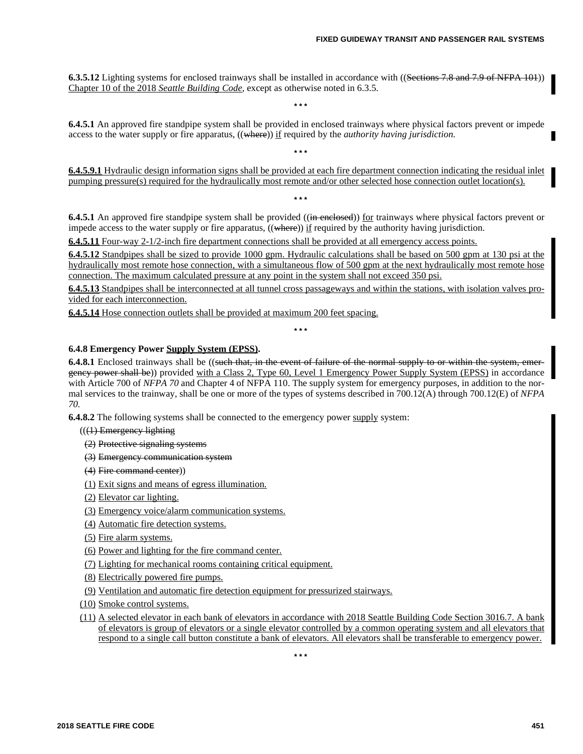**6.3.5.12** Lighting systems for enclosed trainways shall be installed in accordance with ((Sections 7.8 and 7.9 of NFPA 101)) Chapter 10 of the 2018 *Seattle Building Code,* except as otherwise noted in 6.3.5.

**\* \* \***

**\* \* \***

**\* \* \***

**6.4.5.1** An approved fire standpipe system shall be provided in enclosed trainways where physical factors prevent or impede access to the water supply or fire apparatus, ((where)) if required by the *authority having jurisdiction*.

**6.4.5.9.1** Hydraulic design information signs shall be provided at each fire department connection indicating the residual inlet pumping pressure(s) required for the hydraulically most remote and/or other selected hose connection outlet location(s).

**6.4.5.1** An approved fire standpipe system shall be provided ((in enclosed)) for trainways where physical factors prevent or impede access to the water supply or fire apparatus,  $((\text{where}))$  if required by the authority having jurisdiction.

**6.4.5.11** Four-way 2-1/2-inch fire department connections shall be provided at all emergency access points.

**6.4.5.12** Standpipes shall be sized to provide 1000 gpm. Hydraulic calculations shall be based on 500 gpm at 130 psi at the hydraulically most remote hose connection, with a simultaneous flow of 500 gpm at the next hydraulically most remote hose connection. The maximum calculated pressure at any point in the system shall not exceed 350 psi.

**6.4.5.13** Standpipes shall be interconnected at all tunnel cross passageways and within the stations, with isolation valves provided for each interconnection.

**6.4.5.14** Hose connection outlets shall be provided at maximum 200 feet spacing.

**\* \* \***

# **6.4.8 Emergency Power Supply System (EPSS).**

**6.4.8.1** Enclosed trainways shall be ((such that, in the event of failure of the normal supply to or within the system, emergency power shall be)) provided with a Class 2, Type 60, Level 1 Emergency Power Supply System (EPSS) in accordance with Article 700 of *NFPA 70* and Chapter 4 of NFPA 110. The supply system for emergency purposes, in addition to the normal services to the trainway, shall be one or more of the types of systems described in 700.12(A) through 700.12(E) of *NFPA 70.*

**6.4.8.2** The following systems shall be connected to the emergency power supply system:

- $((1)$  Emergency lighting
- (2) Protective signaling systems
- (3) Emergency communication system
- (4) Fire command center))
- (1) Exit signs and means of egress illumination.
- (2) Elevator car lighting.
- (3) Emergency voice/alarm communication systems.
- (4) Automatic fire detection systems.
- (5) Fire alarm systems.
- (6) Power and lighting for the fire command center.
- (7) Lighting for mechanical rooms containing critical equipment.
- (8) Electrically powered fire pumps.
- (9) Ventilation and automatic fire detection equipment for pressurized stairways.
- (10) Smoke control systems.
- (11) A selected elevator in each bank of elevators in accordance with 2018 Seattle Building Code Section 3016.7. A bank of elevators is group of elevators or a single elevator controlled by a common operating system and all elevators that respond to a single call button constitute a bank of elevators. All elevators shall be transferable to emergency power.

**\* \* \***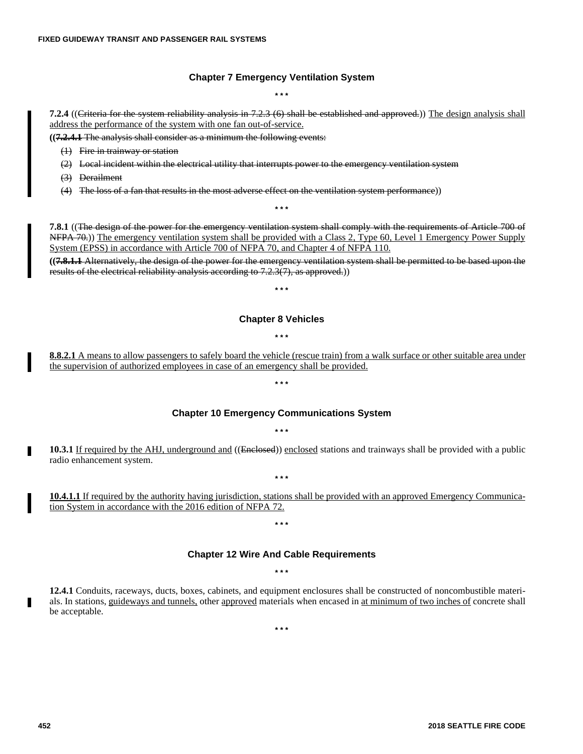# **Chapter 7 Emergency Ventilation System**

**\* \* \***

**7.2.4** ((Criteria for the system reliability analysis in 7.2.3 (6) shall be established and approved.)) The design analysis shall address the performance of the system with one fan out-of-service.

**((7.2.4.1** The analysis shall consider as a minimum the following events:

- (1) Fire in trainway or station
- (2) Local incident within the electrical utility that interrupts power to the emergency ventilation system
- (3) Derailment
- (4) The loss of a fan that results in the most adverse effect on the ventilation system performance))

**7.8.1** ((The design of the power for the emergency ventilation system shall comply with the requirements of Article 700 of NFPA 70.)) The emergency ventilation system shall be provided with a Class 2, Type 60, Level 1 Emergency Power Supply System (EPSS) in accordance with Article 700 of NFPA 70, and Chapter 4 of NFPA 110.

**\* \* \***

**((7.8.1.1** Alternatively, the design of the power for the emergency ventilation system shall be permitted to be based upon the results of the electrical reliability analysis according to 7.2.3(7), as approved.))

#### **\* \* \***

#### **Chapter 8 Vehicles**

#### **\* \* \***

**8.8.2.1** A means to allow passengers to safely board the vehicle (rescue train) from a walk surface or other suitable area under the supervision of authorized employees in case of an emergency shall be provided.

#### **Chapter 10 Emergency Communications System**

**\* \* \***

# **\* \* \***

**10.3.1** If required by the AHJ, underground and ((Enclosed)) enclosed stations and trainways shall be provided with a public radio enhancement system.

**\* \* \***

**10.4.1.1** If required by the authority having jurisdiction, stations shall be provided with an approved Emergency Communication System in accordance with the 2016 edition of NFPA 72.

# **\* \* \***

#### **Chapter 12 Wire And Cable Requirements**

#### **\* \* \***

**12.4.1** Conduits, raceways, ducts, boxes, cabinets, and equipment enclosures shall be constructed of noncombustible materials. In stations, guideways and tunnels, other approved materials when encased in at minimum of two inches of concrete shall be acceptable.

**\* \* \***

г